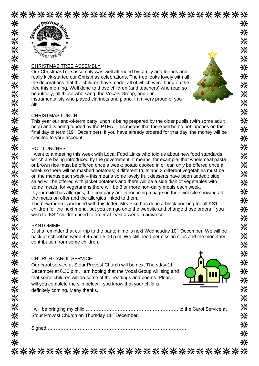\*\*\*\*\*\*\*\*\*\*\*\*\*\*\*\*\*\*\*\*\*\*\*\*\*\*\*



米

兴

米米米米米米米米米米米米米米米米米米米米米米米米米米米米米米米米米米米米

# CHRISTMAS TREE ASSEMBLY

Our ChristmasTree assembly was well attended by family and friends and really kick-started our Christmas celebrations. The tree looks lovely with all the decorations that the children have made, all of which were hung on the tree this morning. Well done to those children (and teachers) who read so beautifully, all those who sang, the Vocals Group, and our instrumentalists who played clarinets and piano. I am very proud of you all!



米

米 ⋇

米

米 ⋇ 米

米

米

米

米 米

兴 ※

氺

米 米

米

米

米

米

兴 氺

米

米

米

米 米 米

米

米

☀ ☀ 米

### CHRISTMAS LUNCH

This year our end-of-term party lunch is being prepared by the older pupils (with some adult help) and is being funded by the PTFA. This means that there will be no hot lunches on the final day of term  $(19<sup>th</sup> December)$ . If you have already ordered for that day, the money will be credited to your account.

#### HOT LUNCHES

I went to a meeting this week with Local Food Links who told us about new food standards which are being introduced by the government. It means, for example, that wholemeal pasta or brown rice must be offered once a week; potato cooked in oil can only be offered once a week so there will be mashed potatoes; 3 different fruits and 3 different vegetables must be on the menus each week – this means some lovely fruit desserts have been added.; side salad will be offered with jacket potatoes and there will be a side dish of vegetables with some meals; for vegetarians there will be 3 or more non-dairy meals each week.

If your child has allergies, the company are introducing a page on their website showing all the meals on offer and the allergies linked to them.

The new menu is included with this letter. Mrs.Pike has done a block booking for all KS1 children for the next menu, but you can go onto the website and change those orders if you wish to. KS2 children need to order at least a week in advance.

#### PANTOMIME

Just a reminder that our trip to the pantomime is next Wednesday  $10<sup>th</sup>$  December. We will be back at school between 4.45 and 5.00 p.m. We still need permission slips and the monetary contribution from some children.

## CHURCH CAROL SERVICE

Our carol service at Stour Provost Church will be next Thursday 11<sup>th</sup> December at 6.30 p.m. I am hoping that the Vocal Group will sing and that some children will do some of the readings and poems. Please will you complete the slip below if you know that your child is definitely coming. Many thanks.



| Stour Provost Church on Thursday 11 <sup>th</sup> December. |  |
|-------------------------------------------------------------|--|

Signed ……………………………………………………………………………